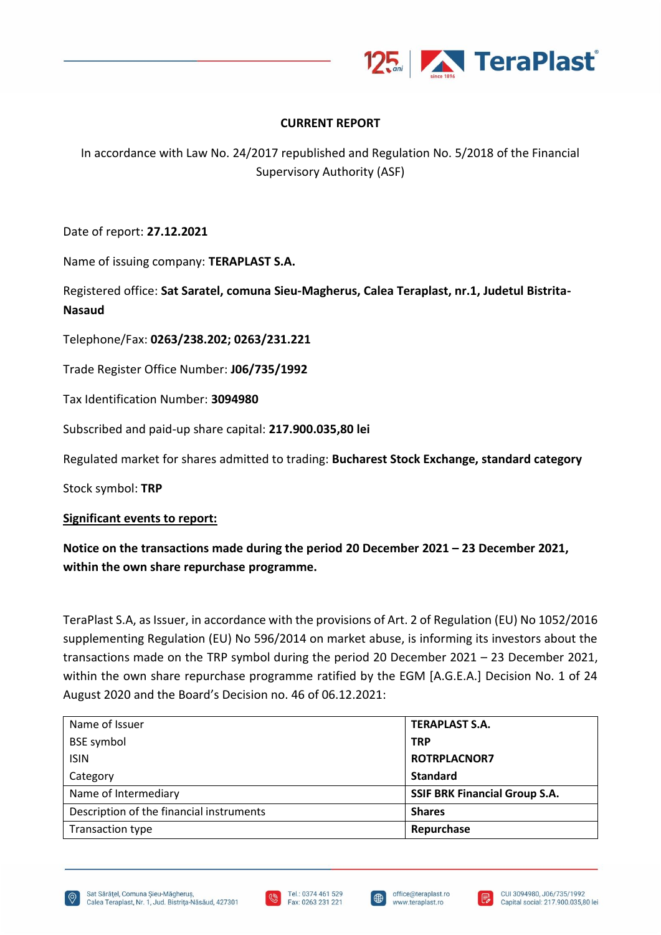

## **CURRENT REPORT**

In accordance with Law No. 24/2017 republished and Regulation No. 5/2018 of the Financial Supervisory Authority (ASF)

Date of report: **27.12.2021**

Name of issuing company: **TERAPLAST S.A.**

Registered office: **Sat Saratel, comuna Sieu-Magherus, Calea Teraplast, nr.1, Judetul Bistrita-Nasaud**

Telephone/Fax: **0263/238.202; 0263/231.221**

Trade Register Office Number: **J06/735/1992**

Tax Identification Number: **3094980**

Subscribed and paid-up share capital: **217.900.035,80 lei**

Regulated market for shares admitted to trading: **Bucharest Stock Exchange, standard category**

Stock symbol: **TRP**

## **Significant events to report:**

## **Notice on the transactions made during the period 20 December 2021 – 23 December 2021, within the own share repurchase programme.**

TeraPlast S.A, as Issuer, in accordance with the provisions of Art. 2 of Regulation (EU) No 1052/2016 supplementing Regulation (EU) No 596/2014 on market abuse, is informing its investors about the transactions made on the TRP symbol during the period 20 December 2021 – 23 December 2021, within the own share repurchase programme ratified by the EGM [A.G.E.A.] Decision No. 1 of 24 August 2020 and the Board's Decision no. 46 of 06.12.2021:

| Name of Issuer                           | <b>TERAPLAST S.A.</b>                |
|------------------------------------------|--------------------------------------|
| <b>BSE</b> symbol                        | <b>TRP</b>                           |
| <b>ISIN</b>                              | <b>ROTRPLACNOR7</b>                  |
| Category                                 | <b>Standard</b>                      |
| Name of Intermediary                     | <b>SSIF BRK Financial Group S.A.</b> |
| Description of the financial instruments | <b>Shares</b>                        |
| Transaction type                         | Repurchase                           |





I⊕

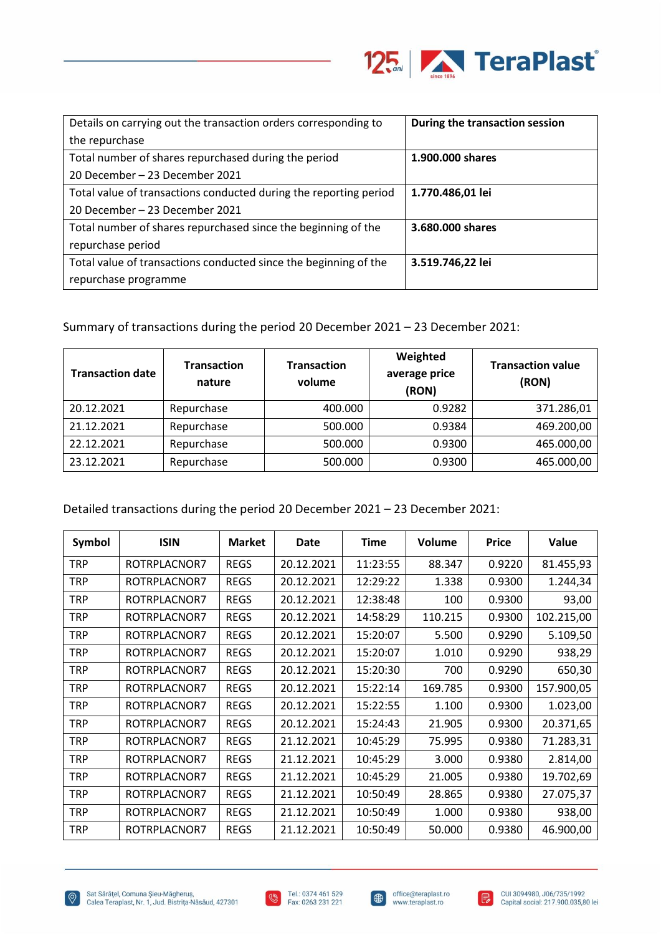

| Details on carrying out the transaction orders corresponding to   | During the transaction session |
|-------------------------------------------------------------------|--------------------------------|
| the repurchase                                                    |                                |
| Total number of shares repurchased during the period              | 1.900.000 shares               |
| 20 December – 23 December 2021                                    |                                |
| Total value of transactions conducted during the reporting period | 1.770.486,01 lei               |
| 20 December – 23 December 2021                                    |                                |
| Total number of shares repurchased since the beginning of the     | 3.680.000 shares               |
| repurchase period                                                 |                                |
| Total value of transactions conducted since the beginning of the  | 3.519.746,22 lei               |
| repurchase programme                                              |                                |

Summary of transactions during the period 20 December 2021 – 23 December 2021:

| <b>Transaction date</b> | <b>Transaction</b><br>nature | <b>Transaction</b><br>volume | Weighted<br>average price<br>(RON) | <b>Transaction value</b><br>(RON) |
|-------------------------|------------------------------|------------------------------|------------------------------------|-----------------------------------|
| 20.12.2021              | Repurchase                   | 400.000                      | 0.9282                             | 371.286,01                        |
| 21.12.2021              | Repurchase                   | 500.000                      | 0.9384                             | 469.200,00                        |
| 22.12.2021              | Repurchase                   | 500.000                      | 0.9300                             | 465.000,00                        |
| 23.12.2021              | Repurchase                   | 500.000                      | 0.9300                             | 465.000,00                        |

Detailed transactions during the period 20 December 2021 – 23 December 2021:

| Symbol     | <b>ISIN</b>  | <b>Market</b> | Date       | <b>Time</b> | <b>Volume</b> | <b>Price</b> | Value      |
|------------|--------------|---------------|------------|-------------|---------------|--------------|------------|
| <b>TRP</b> | ROTRPLACNOR7 | <b>REGS</b>   | 20.12.2021 | 11:23:55    | 88.347        | 0.9220       | 81.455,93  |
| TRP        | ROTRPLACNOR7 | <b>REGS</b>   | 20.12.2021 | 12:29:22    | 1.338         | 0.9300       | 1.244,34   |
| <b>TRP</b> | ROTRPLACNOR7 | <b>REGS</b>   | 20.12.2021 | 12:38:48    | 100           | 0.9300       | 93,00      |
| TRP        | ROTRPLACNOR7 | <b>REGS</b>   | 20.12.2021 | 14:58:29    | 110.215       | 0.9300       | 102.215,00 |
| <b>TRP</b> | ROTRPLACNOR7 | <b>REGS</b>   | 20.12.2021 | 15:20:07    | 5.500         | 0.9290       | 5.109,50   |
| TRP        | ROTRPLACNOR7 | <b>REGS</b>   | 20.12.2021 | 15:20:07    | 1.010         | 0.9290       | 938,29     |
| <b>TRP</b> | ROTRPLACNOR7 | <b>REGS</b>   | 20.12.2021 | 15:20:30    | 700           | 0.9290       | 650,30     |
| <b>TRP</b> | ROTRPLACNOR7 | <b>REGS</b>   | 20.12.2021 | 15:22:14    | 169.785       | 0.9300       | 157.900,05 |
| <b>TRP</b> | ROTRPLACNOR7 | <b>REGS</b>   | 20.12.2021 | 15:22:55    | 1.100         | 0.9300       | 1.023,00   |
| <b>TRP</b> | ROTRPLACNOR7 | <b>REGS</b>   | 20.12.2021 | 15:24:43    | 21.905        | 0.9300       | 20.371,65  |
| <b>TRP</b> | ROTRPLACNOR7 | <b>REGS</b>   | 21.12.2021 | 10:45:29    | 75.995        | 0.9380       | 71.283,31  |
| <b>TRP</b> | ROTRPLACNOR7 | <b>REGS</b>   | 21.12.2021 | 10:45:29    | 3.000         | 0.9380       | 2.814,00   |
| TRP        | ROTRPLACNOR7 | <b>REGS</b>   | 21.12.2021 | 10:45:29    | 21.005        | 0.9380       | 19.702,69  |
| <b>TRP</b> | ROTRPLACNOR7 | <b>REGS</b>   | 21.12.2021 | 10:50:49    | 28.865        | 0.9380       | 27.075,37  |
| <b>TRP</b> | ROTRPLACNOR7 | <b>REGS</b>   | 21.12.2021 | 10:50:49    | 1.000         | 0.9380       | 938,00     |
| <b>TRP</b> | ROTRPLACNOR7 | <b>REGS</b>   | 21.12.2021 | 10:50:49    | 50.000        | 0.9380       | 46.900,00  |



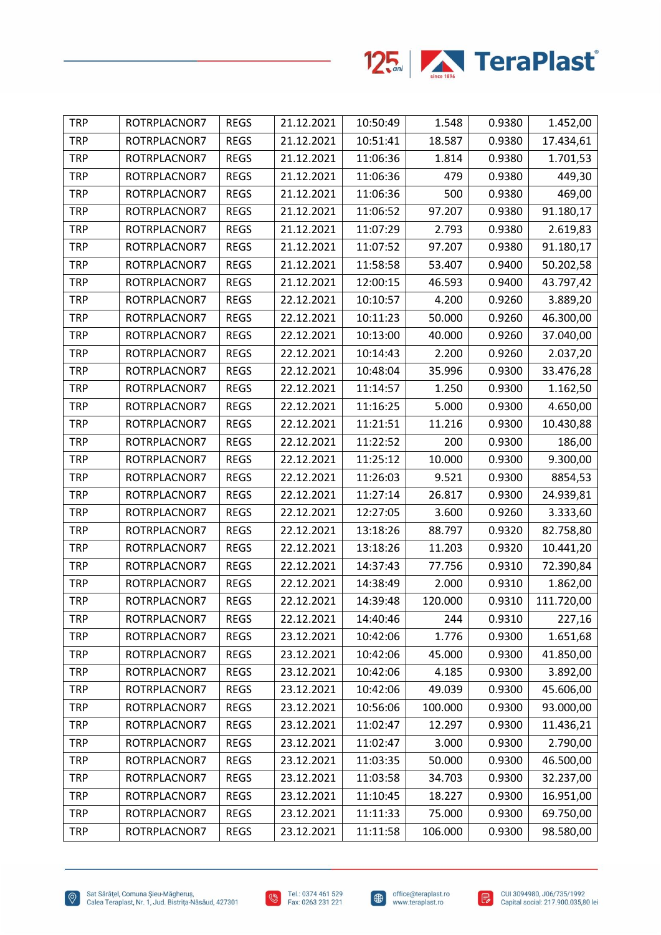

| <b>TRP</b> | ROTRPLACNOR7 | <b>REGS</b> | 21.12.2021 | 10:50:49 | 1.548   | 0.9380 | 1.452,00   |
|------------|--------------|-------------|------------|----------|---------|--------|------------|
| <b>TRP</b> | ROTRPLACNOR7 | <b>REGS</b> | 21.12.2021 | 10:51:41 | 18.587  | 0.9380 | 17.434,61  |
| <b>TRP</b> | ROTRPLACNOR7 | <b>REGS</b> | 21.12.2021 | 11:06:36 | 1.814   | 0.9380 | 1.701,53   |
| <b>TRP</b> | ROTRPLACNOR7 | <b>REGS</b> | 21.12.2021 | 11:06:36 | 479     | 0.9380 | 449,30     |
| <b>TRP</b> | ROTRPLACNOR7 | <b>REGS</b> | 21.12.2021 | 11:06:36 | 500     | 0.9380 | 469,00     |
| <b>TRP</b> | ROTRPLACNOR7 | <b>REGS</b> | 21.12.2021 | 11:06:52 | 97.207  | 0.9380 | 91.180,17  |
| <b>TRP</b> | ROTRPLACNOR7 | <b>REGS</b> | 21.12.2021 | 11:07:29 | 2.793   | 0.9380 | 2.619,83   |
| <b>TRP</b> | ROTRPLACNOR7 | <b>REGS</b> | 21.12.2021 | 11:07:52 | 97.207  | 0.9380 | 91.180,17  |
| <b>TRP</b> | ROTRPLACNOR7 | <b>REGS</b> | 21.12.2021 | 11:58:58 | 53.407  | 0.9400 | 50.202,58  |
| <b>TRP</b> | ROTRPLACNOR7 | <b>REGS</b> | 21.12.2021 | 12:00:15 | 46.593  | 0.9400 | 43.797,42  |
| <b>TRP</b> | ROTRPLACNOR7 | <b>REGS</b> | 22.12.2021 | 10:10:57 | 4.200   | 0.9260 | 3.889,20   |
| <b>TRP</b> | ROTRPLACNOR7 | <b>REGS</b> | 22.12.2021 | 10:11:23 | 50.000  | 0.9260 | 46.300,00  |
| <b>TRP</b> | ROTRPLACNOR7 | <b>REGS</b> | 22.12.2021 | 10:13:00 | 40.000  | 0.9260 | 37.040,00  |
| <b>TRP</b> | ROTRPLACNOR7 | <b>REGS</b> | 22.12.2021 | 10:14:43 | 2.200   | 0.9260 | 2.037,20   |
| <b>TRP</b> | ROTRPLACNOR7 | <b>REGS</b> | 22.12.2021 | 10:48:04 | 35.996  | 0.9300 | 33.476,28  |
| <b>TRP</b> | ROTRPLACNOR7 | <b>REGS</b> | 22.12.2021 | 11:14:57 | 1.250   | 0.9300 | 1.162,50   |
| <b>TRP</b> | ROTRPLACNOR7 | <b>REGS</b> | 22.12.2021 | 11:16:25 | 5.000   | 0.9300 | 4.650,00   |
| <b>TRP</b> | ROTRPLACNOR7 | <b>REGS</b> | 22.12.2021 | 11:21:51 | 11.216  | 0.9300 | 10.430,88  |
| <b>TRP</b> | ROTRPLACNOR7 | <b>REGS</b> | 22.12.2021 | 11:22:52 | 200     | 0.9300 | 186,00     |
| <b>TRP</b> | ROTRPLACNOR7 | <b>REGS</b> | 22.12.2021 | 11:25:12 | 10.000  | 0.9300 | 9.300,00   |
| <b>TRP</b> | ROTRPLACNOR7 | <b>REGS</b> | 22.12.2021 | 11:26:03 | 9.521   | 0.9300 | 8854,53    |
| <b>TRP</b> | ROTRPLACNOR7 | <b>REGS</b> | 22.12.2021 | 11:27:14 | 26.817  | 0.9300 | 24.939,81  |
| <b>TRP</b> | ROTRPLACNOR7 | <b>REGS</b> | 22.12.2021 | 12:27:05 | 3.600   | 0.9260 | 3.333,60   |
| <b>TRP</b> | ROTRPLACNOR7 | <b>REGS</b> | 22.12.2021 | 13:18:26 | 88.797  | 0.9320 | 82.758,80  |
| <b>TRP</b> | ROTRPLACNOR7 | <b>REGS</b> | 22.12.2021 | 13:18:26 | 11.203  | 0.9320 | 10.441,20  |
| <b>TRP</b> | ROTRPLACNOR7 | <b>REGS</b> | 22.12.2021 | 14:37:43 | 77.756  | 0.9310 | 72.390,84  |
| <b>TRP</b> | ROTRPLACNOR7 | <b>REGS</b> | 22.12.2021 | 14:38:49 | 2.000   | 0.9310 | 1.862,00   |
| <b>TRP</b> | ROTRPLACNOR7 | <b>REGS</b> | 22.12.2021 | 14:39:48 | 120.000 | 0.9310 | 111.720,00 |
| <b>TRP</b> | ROTRPLACNOR7 | <b>REGS</b> | 22.12.2021 | 14:40:46 | 244     | 0.9310 | 227,16     |
| <b>TRP</b> | ROTRPLACNOR7 | <b>REGS</b> | 23.12.2021 | 10:42:06 | 1.776   | 0.9300 | 1.651,68   |
| <b>TRP</b> | ROTRPLACNOR7 | <b>REGS</b> | 23.12.2021 | 10:42:06 | 45.000  | 0.9300 | 41.850,00  |
| <b>TRP</b> | ROTRPLACNOR7 | <b>REGS</b> | 23.12.2021 | 10:42:06 | 4.185   | 0.9300 | 3.892,00   |
| <b>TRP</b> | ROTRPLACNOR7 | <b>REGS</b> | 23.12.2021 | 10:42:06 | 49.039  | 0.9300 | 45.606,00  |
| <b>TRP</b> | ROTRPLACNOR7 | <b>REGS</b> | 23.12.2021 | 10:56:06 | 100.000 | 0.9300 | 93.000,00  |
| <b>TRP</b> | ROTRPLACNOR7 | <b>REGS</b> | 23.12.2021 | 11:02:47 | 12.297  | 0.9300 | 11.436,21  |
| <b>TRP</b> | ROTRPLACNOR7 | <b>REGS</b> | 23.12.2021 | 11:02:47 | 3.000   | 0.9300 | 2.790,00   |
| <b>TRP</b> | ROTRPLACNOR7 | <b>REGS</b> | 23.12.2021 | 11:03:35 | 50.000  | 0.9300 | 46.500,00  |
| <b>TRP</b> | ROTRPLACNOR7 | <b>REGS</b> | 23.12.2021 | 11:03:58 | 34.703  | 0.9300 | 32.237,00  |
| <b>TRP</b> | ROTRPLACNOR7 | <b>REGS</b> | 23.12.2021 | 11:10:45 | 18.227  | 0.9300 | 16.951,00  |
| <b>TRP</b> | ROTRPLACNOR7 | <b>REGS</b> | 23.12.2021 | 11:11:33 | 75.000  | 0.9300 | 69.750,00  |
| <b>TRP</b> | ROTRPLACNOR7 | <b>REGS</b> | 23.12.2021 | 11:11:58 | 106.000 | 0.9300 | 98.580,00  |